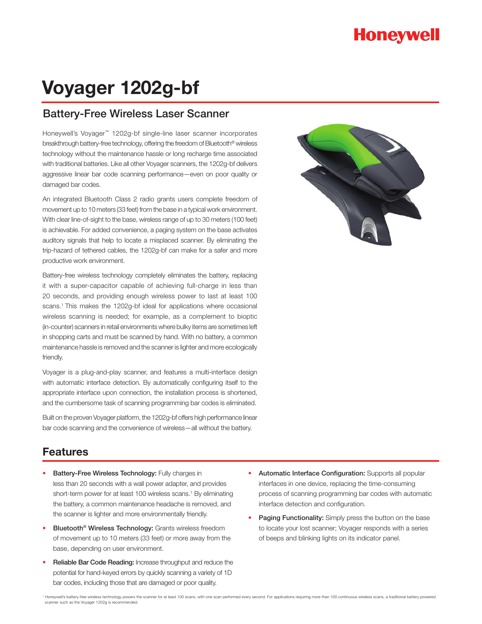# **Honeywell**

# **Voyager 1202g-bf**

### Battery-Free Wireless Laser Scanner

Honeywell's Voyager™ 1202g-bf single-line laser scanner incorporates breakthrough battery-free technology, offering the freedom of Bluetooth® wireless technology without the maintenance hassle or long recharge time associated with traditional batteries. Like all other Voyager scanners, the 1202g-bf delivers aggressive linear bar code scanning performance—even on poor quality or damaged bar codes.

An integrated Bluetooth Class 2 radio grants users complete freedom of movement up to 10 meters (33 feet) from the base in a typical work environment. With clear line-of-sight to the base, wireless range of up to 30 meters (100 feet) is achievable. For added convenience, a paging system on the base activates auditory signals that help to locate a misplaced scanner. By eliminating the trip-hazard of tethered cables, the 1202g-bf can make for a safer and more productive work environment.

Battery-free wireless technology completely eliminates the battery, replacing it with a super-capacitor capable of achieving full-charge in less than 20 seconds, and providing enough wireless power to last at least 100 scans.<sup>1</sup> This makes the 1202g-bf ideal for applications where occasional wireless scanning is needed; for example, as a complement to bioptic (in-counter) scanners in retail environments where bulky items are sometimes left in shopping carts and must be scanned by hand. With no battery, a common maintenance hassle is removed and the scanner is lighter and more ecologically friendly.

Voyager is a plug-and-play scanner, and features a multi-interface design with automatic interface detection. By automatically configuring itself to the appropriate interface upon connection, the installation process is shortened, and the cumbersome task of scanning programming bar codes is eliminated.

Built on the proven Voyager platform, the 1202g-bf offers high performance linear bar code scanning and the convenience of wireless—all without the battery.



### **Features**

- Battery-Free Wireless Technology: Fully charges in less than 20 seconds with a wall power adapter, and provides short-term power for at least 100 wireless scans.<sup>1</sup> By eliminating the battery, a common maintenance headache is removed, and the scanner is lighter and more environmentally friendly.
- Bluetooth<sup>®</sup> Wireless Technology: Grants wireless freedom of movement up to 10 meters (33 feet) or more away from the base, depending on user environment.
- Reliable Bar Code Reading: Increase throughput and reduce the potential for hand-keyed errors by quickly scanning a variety of 1D bar codes, including those that are damaged or poor quality.
- Automatic Interface Configuration: Supports all popular interfaces in one device, replacing the time-consuming process of scanning programming bar codes with automatic interface detection and configuration.
- Paging Functionality: Simply press the button on the base to locate your lost scanner; Voyager responds with a series of beeps and blinking lights on its indicator panel.

Honeywell's battery-free wireless technology powers the scanner for at least 100 scans, with one scan performed every second. For applications requiring more than 100 continuous wireless scans, a traditional battery-powere scanner such as the Voyager 1202g is recommended.